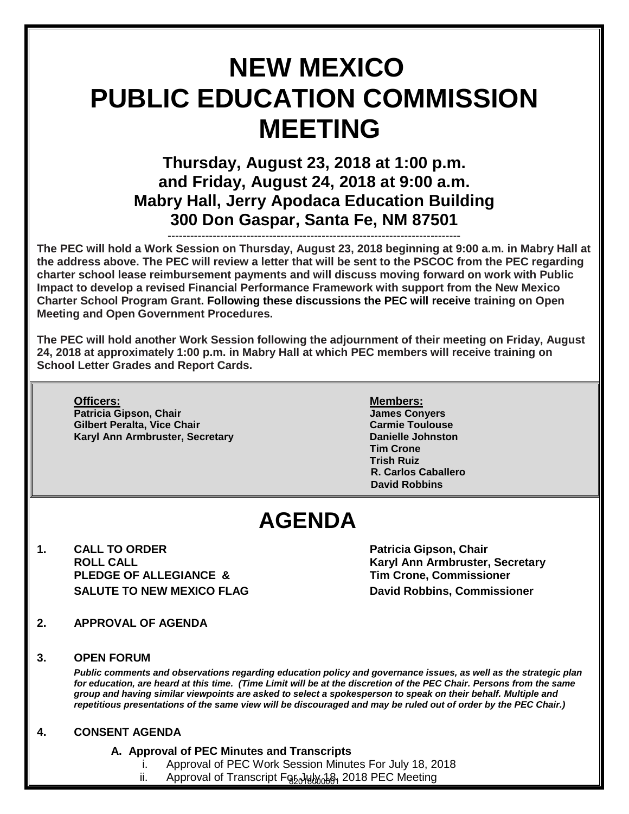# **NEW MEXICO PUBLIC EDUCATION COMMISSION MEETING**

## **Thursday, August 23, 2018 at 1:00 p.m. and Friday, August 24, 2018 at 9:00 a.m. Mabry Hall, Jerry Apodaca Education Building 300 Don Gaspar, Santa Fe, NM 87501**

------------------------------------------------------------------------------ **The PEC will hold a Work Session on Thursday, August 23, 2018 beginning at 9:00 a.m. in Mabry Hall at the address above. The PEC will review a letter that will be sent to the PSCOC from the PEC regarding charter school lease reimbursement payments and will discuss moving forward on work with Public Impact to develop a revised Financial Performance Framework with support from the New Mexico Charter School Program Grant. Following these discussions the PEC will receive training on Open Meeting and Open Government Procedures.** 

**The PEC will hold another Work Session following the adjournment of their meeting on Friday, August 24, 2018 at approximately 1:00 p.m. in Mabry Hall at which PEC members will receive training on School Letter Grades and Report Cards.** 

**Officers: Members: Patricia Gipson, Chair James Conyers Gilbert Peralta, Vice Chair Karyl Ann Armbruster, Secretary <b>Danielle Johnston** 

**Tim Crone Trish Ruiz R. Carlos Caballero David Robbins**

## **AGENDA**

**1. CALL TO ORDER COMPUTE:** Patricia Gipson, Chair **Patricia Gipson, Chair PLEDGE OF ALLEGIANCE & Tim Crone, Commissioner SALUTE TO NEW MEXICO FLAG DAVID ROBBINS, Commissioner CONTEXAGLE AND RESPONSIVELY** 

 **ROLL CALL Karyl Ann Armbruster, Secretary** 

- **2. APPROVAL OF AGENDA**
- **3. OPEN FORUM**

I

*Public comments and observations regarding education policy and governance issues, as well as the strategic plan for education, are heard at this time. (Time Limit will be at the discretion of the PEC Chair. Persons from the same group and having similar viewpoints are asked to select a spokesperson to speak on their behalf. Multiple and*  repetitious presentations of the same view will be discouraged and may be ruled out of order by the PEC Chair.)

#### **4. CONSENT AGENDA**

- **A. Approval of PEC Minutes and Transcripts** 
	- Approval of PEC Work Session Minutes For July 18, 2018
	- ii. Approval of Transcript For July 18, 2018 PEC Meeting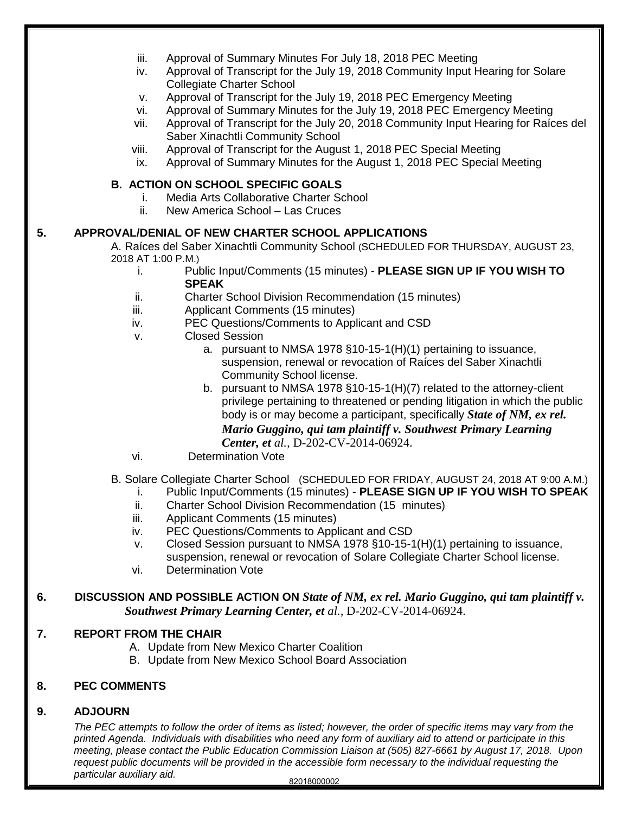|    | iii.<br>iv.                  | Approval of Summary Minutes For July 18, 2018 PEC Meeting<br>Approval of Transcript for the July 19, 2018 Community Input Hearing for Solare<br><b>Collegiate Charter School</b>                                                                                                                                                                                                                                                                                                                                                           |
|----|------------------------------|--------------------------------------------------------------------------------------------------------------------------------------------------------------------------------------------------------------------------------------------------------------------------------------------------------------------------------------------------------------------------------------------------------------------------------------------------------------------------------------------------------------------------------------------|
|    | v.<br>vi.<br>vii.            | Approval of Transcript for the July 19, 2018 PEC Emergency Meeting<br>Approval of Summary Minutes for the July 19, 2018 PEC Emergency Meeting<br>Approval of Transcript for the July 20, 2018 Community Input Hearing for Raíces del<br>Saber Xinachtli Community School                                                                                                                                                                                                                                                                   |
|    | viii.<br>ix.                 | Approval of Transcript for the August 1, 2018 PEC Special Meeting<br>Approval of Summary Minutes for the August 1, 2018 PEC Special Meeting                                                                                                                                                                                                                                                                                                                                                                                                |
|    | i.                           | <b>B. ACTION ON SCHOOL SPECIFIC GOALS</b><br>Media Arts Collaborative Charter School                                                                                                                                                                                                                                                                                                                                                                                                                                                       |
|    | ii.                          | New America School - Las Cruces                                                                                                                                                                                                                                                                                                                                                                                                                                                                                                            |
| 5. | 2018 AT 1:00 P.M.)<br>j.     | APPROVAL/DENIAL OF NEW CHARTER SCHOOL APPLICATIONS<br>A. Raíces del Saber Xinachtli Community School (SCHEDULED FOR THURSDAY, AUGUST 23,<br>Public Input/Comments (15 minutes) - PLEASE SIGN UP IF YOU WISH TO                                                                                                                                                                                                                                                                                                                             |
|    | ii.                          | <b>SPEAK</b><br><b>Charter School Division Recommendation (15 minutes)</b>                                                                                                                                                                                                                                                                                                                                                                                                                                                                 |
|    | iii.                         | Applicant Comments (15 minutes)                                                                                                                                                                                                                                                                                                                                                                                                                                                                                                            |
|    | iv.<br>v.                    | PEC Questions/Comments to Applicant and CSD<br><b>Closed Session</b>                                                                                                                                                                                                                                                                                                                                                                                                                                                                       |
|    | vi.                          | a. pursuant to NMSA 1978 §10-15-1(H)(1) pertaining to issuance,<br>suspension, renewal or revocation of Raíces del Saber Xinachtli<br>Community School license.<br>b. pursuant to NMSA 1978 §10-15-1(H)(7) related to the attorney-client<br>privilege pertaining to threatened or pending litigation in which the public<br>body is or may become a participant, specifically State of NM, ex rel.<br>Mario Guggino, qui tam plaintiff v. Southwest Primary Learning<br>Center, et al., D-202-CV-2014-06924.<br><b>Determination Vote</b> |
|    | i.<br>ii.                    | B. Solare Collegiate Charter School (SCHEDULED FOR FRIDAY, AUGUST 24, 2018 AT 9:00 A.M.)<br>Public Input/Comments (15 minutes) - PLEASE SIGN UP IF YOU WISH TO SPEAK<br>Charter School Division Recommendation (15 minutes)                                                                                                                                                                                                                                                                                                                |
|    | iii.<br>iv.<br>V.<br>vi.     | Applicant Comments (15 minutes)<br>PEC Questions/Comments to Applicant and CSD<br>Closed Session pursuant to NMSA 1978 §10-15-1(H)(1) pertaining to issuance,<br>suspension, renewal or revocation of Solare Collegiate Charter School license.<br><b>Determination Vote</b>                                                                                                                                                                                                                                                               |
| 6. |                              | DISCUSSION AND POSSIBLE ACTION ON State of NM, ex rel. Mario Guggino, qui tam plaintiff v.<br>Southwest Primary Learning Center, et al., D-202-CV-2014-06924.                                                                                                                                                                                                                                                                                                                                                                              |
| 7. | <b>REPORT FROM THE CHAIR</b> | A. Update from New Mexico Charter Coalition<br>B. Update from New Mexico School Board Association                                                                                                                                                                                                                                                                                                                                                                                                                                          |
| 8. | <b>PEC COMMENTS</b>          |                                                                                                                                                                                                                                                                                                                                                                                                                                                                                                                                            |
|    |                              |                                                                                                                                                                                                                                                                                                                                                                                                                                                                                                                                            |

**9. ADJOURN**

*The PEC attempts to follow the order of items as listed; however, the order of specific items may vary from the printed Agenda. Individuals with disabilities who need any form of auxiliary aid to attend or participate in this meeting, please contact the Public Education Commission Liaison at (505) 827-6661 by August 17, 2018. Upon request public documents will be provided in the accessible form necessary to the individual requesting the particular auxiliary aid.*  82018000002